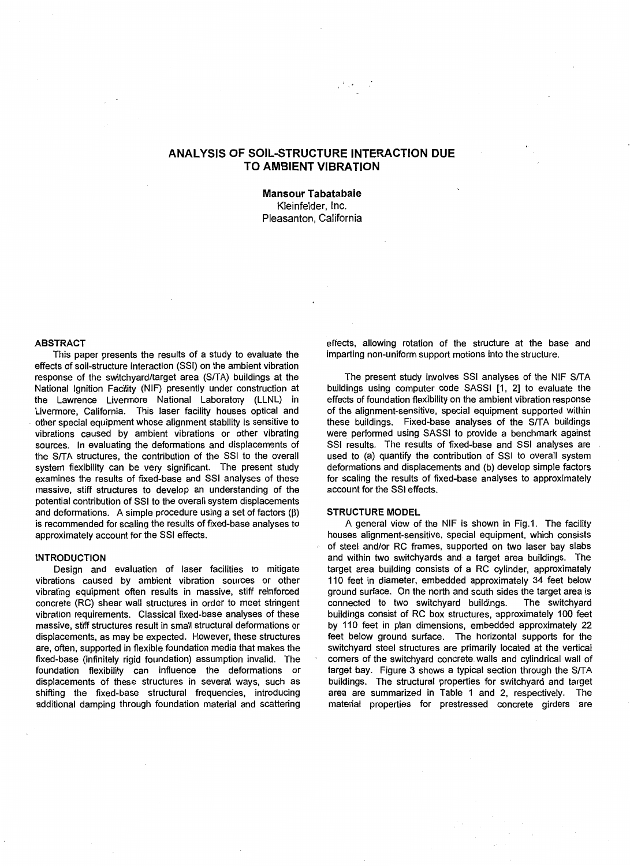# **ANALYSIS OF SOIL-STRUCTURE INTERACTION DUE TO AMBIENT VIBRATION**

**Mansour Tabatabaie**  Kleinfelder, Inc. Pleasanton, California

## **ABSTRACT**

This paper presents the results of a study to evaluate the effects of soil-structure interaction (SSI) on the ambient vibration response of the switchyard/target area (S/TA) buildings at the National Ignition Facility (NIF) presently under construction at the Lawrence Livermore National Laboratory (LLNL) in Livermore, California. This laser facility houses optical and other special equipment whose alignment stability is sensitive to vibrations caused by ambient vibrations or other vibrating sources. In evaluating the deformations and displacements of the S/TA structures, the contribution of the SSI to the overall system flexibility can be very significant. The present study examines the results of fixed-base and SSI analyses of these massive, stiff structures to develop an understanding of the potential contribution of SSI to the overall system displacements and deformations. A simple procedure using a set of factors  $(\beta)$ is recommended for scaling the results of fixed-base analyses to approximately account for the SSI effects.

#### **INTRODUCTION**

Design and evaluation of laser facilities to mitigate vibrations caused by ambient vibration sources or other vibrating equipment often results in massive, stiff reinforced concrete (RC) shear wall structures in order to meet stringent vibration requirements. Classical fixed-base analyses of these massive, stiff structures result in small structural deformations or displacements, as may be expected. However, these structures are, often, supported in flexible foundation media that makes the fixed-base (infinitely rigid foundation) assumption invalid. The foundation flexibility can influence the deformations or displacements of these structures in several ways, such as shifting the fixed-base structural frequencies, introducing additional damping through foundation material and scattering

effects, allowing rotation of the structure at the base and imparting non-uniform support motions into the structure.

The present study involves SSI analyses of the NIF S/TA buildings using computer code SASSI [1, 2] to evaluate the effects of foundation flexibility on the ambient vibration response of the alignment-sensitive, special equipment supported within these buildings. Fixed-base analyses of the S/TA buildings were performed using SASSI to provide a benchmark against SSI results. The results of fixed-base and SSI analyses are used to (a) quantify the contribution of SSI to overall system deformations and displacements and (b) develop simple factors for scaling the results of fixed-base analyses to approximately account for the SSI effects.

## **STRUCTURE MODEL**

A general view of the NIF is shown in Fig.1. The facility houses alignment-sensitive, special equipment, which consists of steel and/or RC frames, supported on two laser bay slabs and within two switchyards and a target area buildings. The target area building consists of a RC cylinder, approximately 110 feet in diameter, embedded approximately 34 feet below ground surface. On the north and south sides the target area is connected to two switchyard buildings. The switchyard buildings consist of RC box structures, approximately 100 feet by 110 feet in plan dimensions, embedded approximately 22 feet below ground surface. The horizontal supports for the switchyard steel structures are primarily located at the vertical corners of the switchyard concrete. walls and cylindrical wall of target bay. Figure 3 shows a typical section through the S/TA buildings. The structural properties for switchyard and target area are summarized in Table 1 and 2, respectively. The material properties for prestressed concrete girders are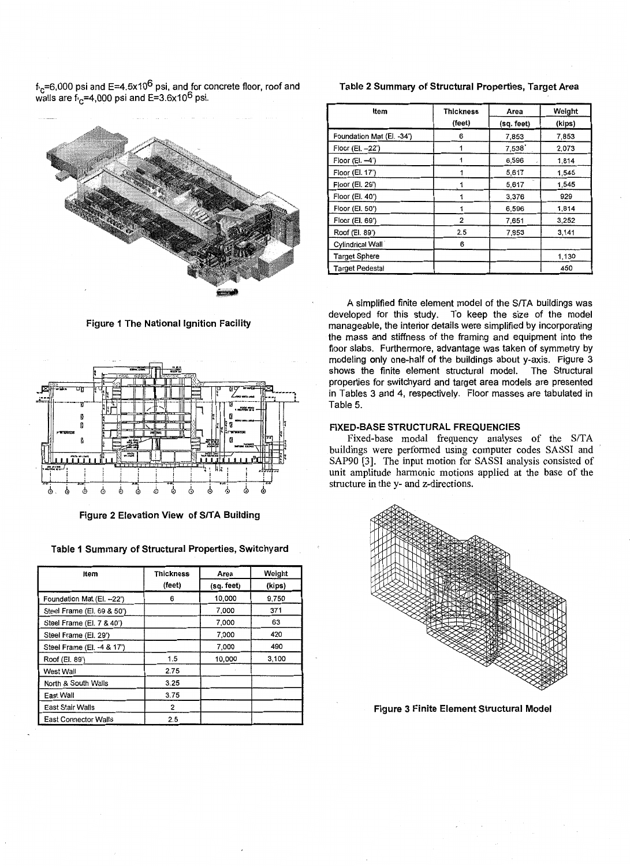f<sub>'C</sub>=6,000 psi and E=4.5x10<sup>o</sup> psi, and for concrete floor, roof and walls are f<sub>'C</sub>=4,000 psi and E=3.6x10<sup>o</sup> psi.



**Figure 1 The National Ignition Facility** 



**Figure 2 Elevation View of S/TA Building** 

**Table 1 Summary of Structural Properties, Switchyard** 

| Item                        | <b>Thickness</b><br>(feet) | Area<br>(sq. feet) | Weight<br>(kips) |
|-----------------------------|----------------------------|--------------------|------------------|
| Foundation Mat (El. -- 22') | 6                          | 10,000             | 9,750            |
| Steel Frame (El. 69 & 50')  |                            | 7,000              | 371              |
| Steel Frame (El. 7 & 40')   |                            | 7,000              | 63               |
| Steel Frame (El. 29')       |                            | 7,000              | 420              |
| Steel Frame (El. -4 & 17')  |                            | 7,000              | 490              |
| Roof (El. 89')              | 1.5                        | 10,000             | 3,100            |
| West Wall                   | 2.75                       |                    |                  |
| North & South Walls         | 3.25                       |                    |                  |
| East Wall                   | 3.75                       |                    |                  |
| East Stair Walls            | 2                          |                    |                  |
| <b>East Connector Walls</b> | 2.5                        |                    |                  |

**Table 2 Summary of Structural Properties, Target Area** 

| Item                      | <b>Thickness</b><br>Area |            | Weight |
|---------------------------|--------------------------|------------|--------|
|                           | (feet)                   | (sq. feet) | (kips) |
| Foundation Mat (El. -34') | 6                        | 7,853      | 7,853  |
| Floor (El. -22')          |                          | 7,538      | 2,073  |
| Floor $(EL -4)$           |                          | 6,596      | 1,814  |
| Floor (El. 17')           |                          | 5,617      | 1,545  |
| Floor (El. 29')           |                          | 5,617      | 1,545  |
| Floor (El. 40')           |                          | 3,376      | 929    |
| Floor (El. 50')           |                          | 6,596      | 1,814  |
| Floor (El. 69')           | 2                        | 7,651      | 3,252  |
| Roof (El. 89')            | 2.5                      | 7,853      | 3,141  |
| Cylindrical Wall          | 6                        |            |        |
| <b>Target Sphere</b>      |                          |            | 1,130  |
| <b>Target Pedestal</b>    |                          |            | 450    |

A simplified finite element model of the S/TA buildings was developed for this study. To keep the size of the model manageable, the interior details were simplified by incorporating the mass and stiffness of the framing and equipment into the floor slabs. Furthermore, advantage was taken of symmetry by modeling only one-half of the buildings about y-axis. Figure 3 shows the finite element structural model. The Structural properties for switchyard and target area models are presented in Tables 3 and 4, respectively. Floor masses are tabulated in Table 5.

## **FIXED-BASE STRUCTURAL FREQUENCIES**

Fixed-base modal frequency analyses of the S/TA buildings were performed using computer codes SASSI and SAP90 [3]. The input motion for SASSI analysis consisted of unit amplitude harmonic motions applied at the base of the structure in the y- and z-directions.



**Figure 3 Finite Element Structural Model**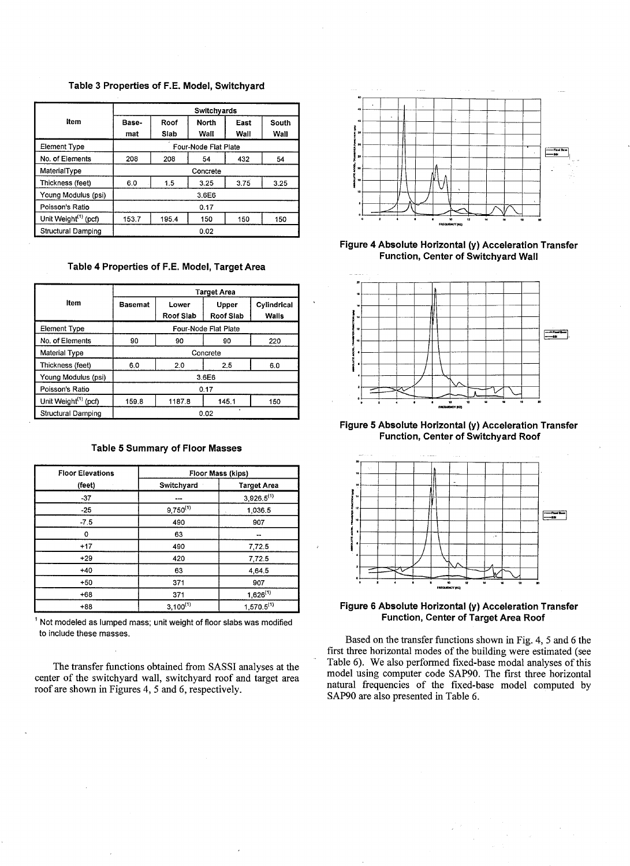## **Table 3 Properties of F.E. Model, Switchyard**

|                                  | Switchyards                        |       |                      |      |       |
|----------------------------------|------------------------------------|-------|----------------------|------|-------|
| Item                             | Base-                              | Roof  | <b>North</b>         | East | South |
|                                  | mat                                | Slab  | Wall                 | Wall | Wall  |
| <b>Element Type</b>              |                                    |       | Four-Node Flat Plate |      |       |
| No. of Elements                  | 208<br>432<br>54<br>208<br>54      |       |                      |      |       |
| MaterialType                     | Concrete                           |       |                      |      |       |
| Thickness (feet)                 | 3.75<br>1.5<br>6.0<br>3.25<br>3.25 |       |                      |      |       |
| Young Modulus (psi)              | 3.6E6                              |       |                      |      |       |
| Poisson's Ratio                  | 0.17                               |       |                      |      |       |
| Unit Weight <sup>(1)</sup> (pcf) | 153.7                              | 195.4 | 150                  | 150  | 150   |
| <b>Structural Damping</b>        | 0.02                               |       |                      |      |       |

**Table 4 Properties of F.E. Model, Target Area** 

|                                  | Target Area           |                           |                           |                             |
|----------------------------------|-----------------------|---------------------------|---------------------------|-----------------------------|
| Item                             | <b>Basemat</b>        | Lower<br><b>Roof Slab</b> | <b>Upper</b><br>Roof Slab | Cylindrical<br><b>Walls</b> |
| <b>Element Type</b>              | Four-Node Flat Plate  |                           |                           |                             |
| No. of Elements                  | 90<br>90<br>90<br>220 |                           |                           |                             |
| Material Type                    | Concrete              |                           |                           |                             |
| Thickness (feet)                 | 6.0                   | 2.0                       | 2.5                       | 6.0                         |
| Young Modulus (psi)              | 3.6E6                 |                           |                           |                             |
| Poisson's Ratio                  | 0.17                  |                           |                           |                             |
| Unit Weight <sup>(1)</sup> (pcf) | 159.8                 | 1187.8                    | 145.1                     | 150                         |
| Structural Damping               | 0.02                  |                           |                           |                             |

## **Table 5 Summary of Floor Masses**

| <b>Floor Elevations</b> | Floor Mass (kips) |                    |  |
|-------------------------|-------------------|--------------------|--|
| (feet)                  | Switchyard        | <b>Target Area</b> |  |
| $-37$                   |                   | $3,926.5^{(1)}$    |  |
| $-25$                   | $9,750^{(1)}$     | 1,036.5            |  |
| $-7.5$                  | 490               | 907                |  |
| 0                       | 63                | --                 |  |
| $+17$                   | 490               | 7,72.5             |  |
| $+29$                   | 420               | 7,72.5             |  |
| $+40$                   | 63                | 4.64.5             |  |
| $+50$                   | 371               | 907                |  |
| $+68$                   | 371               | $1,626^{(1)}$      |  |
| $+88$                   | $3,100^{(1)}$     | $1,570.5^{(1)}$    |  |

<sup>1</sup> Not modeled as lumped mass; unit weight of floor slabs was modified to include these masses.

The transfer functions obtained from SASSI analyses at the center of the switchyard wall, switchyard roof and target area roof are shown in Figures 4, 5 and 6, respectively.



**Figure 4 Absolute Horizontal (y) Acceleration Transfer Function, Center of Switchyard Wall** 



**Figure 5 Absolute Horizontal (y) Acceleration Transfer Function, Center of Switchyard Roof** 



**Figure 6 Absolute Horizontal (y) Acceleration Transfer Function, Center of Target Area Roof** 

Based on the transfer functions shown in Fig. 4, 5 and 6 the first three horizontal modes of the building were estimated (see Table 6). We also performed fixed-base modal analyses of this model using computer code SAP90. The first three horizontal natural frequencies of the fixed-base model computed by SAP90 are also presented in Table 6.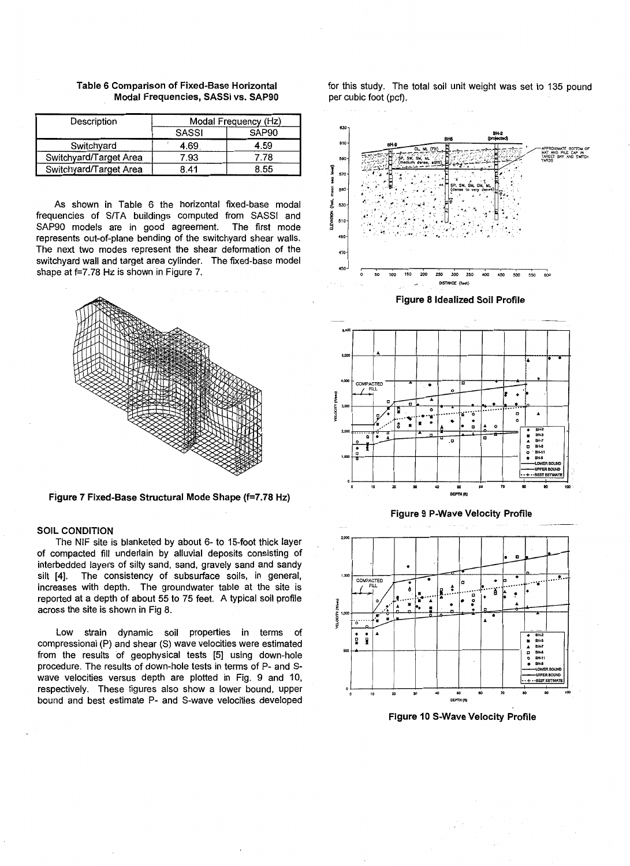| Description            | Modal Frequency (Hz)              |      |  |
|------------------------|-----------------------------------|------|--|
|                        | <b>SASSI</b><br>SAP <sub>90</sub> |      |  |
| Switchyard             | 4.69.                             | 4.59 |  |
| Switchyard/Target Area | 7.93                              | 7.78 |  |
| Switchyard/Target Area | 8.41                              | 8.55 |  |

Table 6 Comparison of Fixed-Base Horizontal Modal Frequencies, SASSI vs. SAP90

As shown in Table 6 the horizontal fixed-base modal frequencies of S/TA buildings computed from SASSI and SAP90 models are in good agreement. The first mode SAP90 models are in good agreement. represents out-of-plane bending of the switchyard shear walls. The next two modes represent the shear deformation of the switchyard wall and target area cylinder. The fixed-base model shape at f=7.78 Hz is shown in Figure 7.



Figure 7 Fixed-Base Structural Mode Shape {f=7.78 Hz)

## SOIL CONDITION

The NIF site is blanketed by about 6- to 15-foot thick layer of compacted fill underlain by alluvial deposits consisting of interbedded layers of silty sand, sand, gravely sand and sandy silt [4]. The consistency of subsurface soils, in general, increases with depth. The groundwater table at the site is reported at a depth of about 55 to 75 feet. A typical soil profile across the site is shown in Fig 8.

Low strain dynamic soil properties in terms of compressional (P) and shear (S) wave velocities were estimated from the results of geophysical tests [5] using down-hole procedure. The results of down-hole tests in terms of P- and Swave velocities versus depth are plotted in Fig. 9 and 10, respectively. These figures also show a lower bound, upper bound and best estimate P- and S-wave velocities developed for this study. The total soil unit weight was set to 135 pound per cubic foot (pcf}.









Figure 10 S-Wave Velocity Profile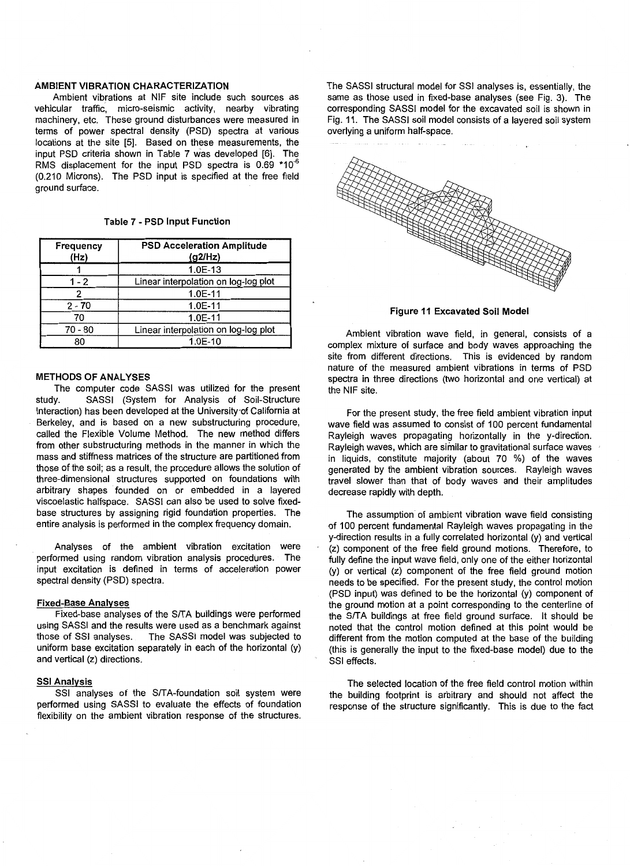## AMBIENT VIBRATION CHARACTERIZATION

Ambient vibrations at NIF site include such sources as vehicular traffic, micro-seismic activity, nearby vibrating machinery, etc. These ground disturbances were measured in terms of power spectral density (PSD) spectra at various locations at the site [5]. Based on these measurements, the input PSD criteria shown in Table 7 was developed [6). The RMS displacement for the input PSD spectra is  $0.69$  \*10<sup>-6</sup> (0.210 Microns). The PSD input is specified at the free field ground surface.

# Table 7 - PSD Input Function

| Frequency<br>(Hz) | <b>PSD Acceleration Amplitude</b><br>(g2/Hz) |
|-------------------|----------------------------------------------|
|                   | 1.0E-13                                      |
| $1 - 2$           | Linear interpolation on log-log plot         |
| 2                 | $1.0E-11$                                    |
| $2 - 70$          | $1.0E-11$                                    |
| 70                | $1.0E-11$                                    |
| $70 - 80$         | Linear interpolation on log-log plot         |
| 80                | 1.0E-10                                      |

#### METHODS OF ANALYSES

The computer code SASSI was utilized for the present study. SASSI (System for Analysis of Soil-Structure Interaction) has been developed at the University of California at Berkeley, and is based on a new substructuring procedure, called the Flexible Volume Method. The new method differs from other substructuring methods in the manner in which the mass and stiffness matrices of the structure are partitioned from those of the soil; as a result, the procedure allows the solution of three-dimensional structures supported on foundations with arbitrary shapes founded on or embedded in a layered viscoelastic halfspace. SASSI can also be used to solve fixedbase structures by assigning rigid foundation properties. The entire analysis is performed in the complex frequency domain.

Analyses of the ambient vibration excitation were performed using random vibration analysis procedures. The input excitation is defined in terms of acceleration power spectral density (PSD) spectra.

## Fixed-Base Analyses

Fixed-base analyses of the S/TA buildings were performed using SASSI and the results were used as a benchmark against those of SSI analyses. The SASSI model was subjected to uniform base excitation separately in each of the horizontal (y) and vertical (z) directions.

#### SSI Analysis

SSI analyses of the S/TA-foundation soil system were performed using SASSI to evaluate the effects of foundation flexibility on the ambient vibration response of the structures.

The SASSI structural model for SSI analyses is, essentially, the same as those used in fixed-base analyses (see Fig. 3). The corresponding SASSI model for the excavated soil is shown in Fig. 11. The SASSI soil model consists of a layered soil system overlying a uniform half-space.



Figure 11 Excavated Soil Model

Ambient vibration wave field, in general, consists of a complex mixture of surface and body waves approaching the site from different directions. This is evidenced by random nature of the measured ambient vibrations in terms of PSD spectra in three directions (two horizontal and one vertical) at the NIF site.

For the present study, the free field ambient vibration input wave field was assumed to consist of 100 percent fundamental Rayleigh waves propagating horizontally in the y-direction. Rayleigh waves, which are similar to gravitational surface waves in liquids, constitute majority (about 70 %) of the waves generated by the ambient vibration sources. Rayleigh waves travel slower than that of body waves and their amplitudes decrease rapidly with depth.

The assumption of ambient vibration wave field consisting of 100 percent fundamental Rayleigh waves propagating in the y-direction results in a fully correlated horizontal (y) and vertical (z) component of the free field ground motions. Therefore, to fully define the input wave field, only one of the either horizontal (y) or vertical (z) component of the free field ground motion needs to be specified. For the present study, the control motion (PSD input) was defined to be the horizontal (y) component of the ground motion at a point corresponding to the centerline of the S/TA buildings at free field ground surface. It should be noted that the control motion defined at this point would be different from the motion computed at the base of the building (this is generally the input to the fixed-base model) due to the SSI effects.

The selected location of the free field control motion within the building footprint is arbitrary and should not affect the response of the structure significantly. This is due to the fact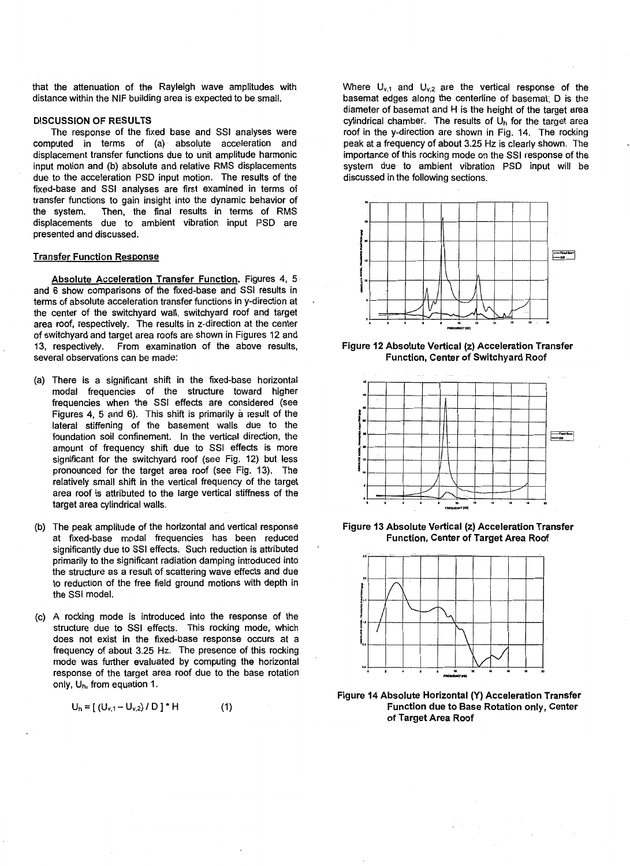that the attenuation of the Rayleigh wave amplitudes with distance within the NIF building area is expected to be small.

## DISCUSSION OF RESULTS

The response of the fixed base and SSI analyses were computed in terms of (a) absolute acceleration and displacement transfer functions due to unit amplitude harmonic input motion and (b) absolute and relative RMS displacements due to the acceleration PSD input motion. The results of the fixed-base and SSI analyses are first examined in terms of transfer functions to gain insight into the dynamic behavior of the system. Then, the final results in terms of RMS displacements due to ambient vibration input PSD are presented and discussed.

### Transfer Function Response

Absolute Acceleration Transfer Function. Figures 4, 5 and 6 show comparisons of the fixed-base and SSI results in terms of absolute acceleration transfer functions in y-direction at the center of the switchyard wall, switchyard roof and target area roof, respectively. The results in z-direction at the center of switchyard and target area roofs are shown in Figures 12 and 13, respectively. From examination of the above results, several observations can be made:

- (a) There is a significant shift in the fixed-base horizontal modal frequencies of the structure toward higher frequencies when the SSI effects are considered (see Figures 4, 5 and 6). This shift is primarily a result of the lateral stiffening of the basement walls due to the foundation soil confinement. In the vertical direction, the amount of frequency shift due to SSI effects is more significant for the switchyard roof (see Fig. 12) but less pronounced for the target area roof (see Fig. 13). The relatively small shift in the vertical frequency of the target area roof is attributed to the large vertical stiffness of the target area cylindrical walls.
- (b) The peak amplitude of the horizontal and vertical response at fixed-base modal frequencies has been reduced significantly due to SSI effects. Such reduction is attributed primarily to the significant radiation damping introduced into the structure as a result of scattering wave effects and due to reduction of the free field ground motions with depth in the SSI model.
- (c) A rocking mode is introduced into the response of the structure due to SSI effects. This rocking mode, which does not exist in the fixed-base response occurs at a frequency of about 3.25 Hz. The presence of this rocking mode was further evaluated by computing the horizontal response of the target area roof due to the base rotation only, Uh, from equation 1.

$$
U_h = [(U_{v,1} - U_{v,2}) / D]^* H
$$
 (1)

Where  $U_{v,1}$  and  $U_{v,2}$  are the vertical response of the basemat edges along the centerline of basemat; D is the diameter of basemat and H is the height of the target area cylindrical chamber. The results of  $U<sub>h</sub>$  for the target area roof in the y-direction are shown in Fig. 14. The rocking peak at a frequency of about 3.25 Hz is clearly shown. The importance of this rocking mode on the SSI response of the system due to ambient vibration PSD input will be discussed in the following sections.



Figure 12 Absolute Vertical (z) Acceleration Transfer Function, Center of Switchyard Roof



Figure 13 Absolute Vertical (z) Acceleration Transfer Function, Center of Target Area Roof



Figure 14 Absolute Horizontal (Y) Acceleration Transfer Function due to Base Rotation only, Center of Target Area Roof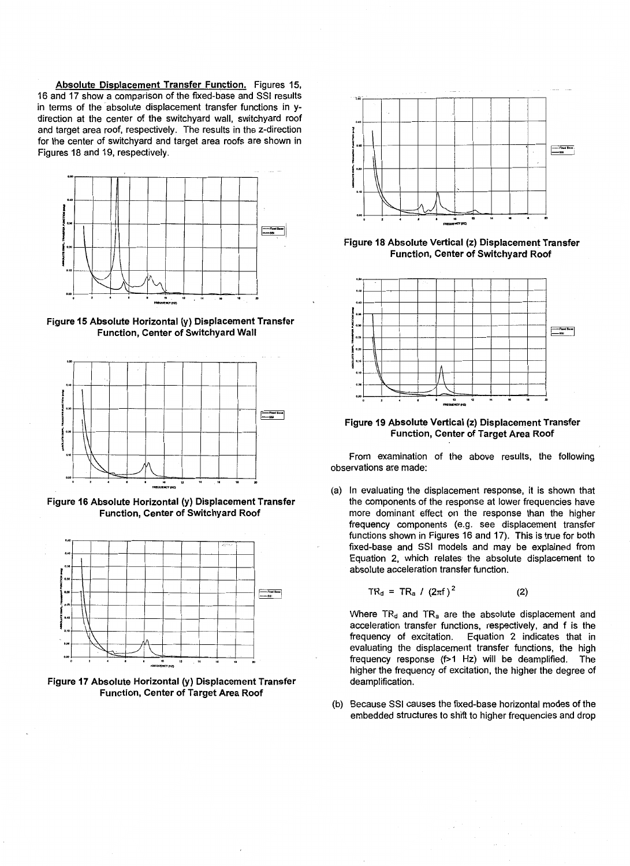Absolute Displacement Transfer Function. Figures 15, 16 and 17 show a comparison of the fixed-base and SSI results in terms of the absolute displacement transfer functions in ydirection at the center of the switchyard wall, switchyard roof and target area roof, respectively. The results in the z-direction for the center of switchyard and target area roofs are shown in Figures 18 and 19, respectively.



Figure 15 Absolute Horizontal (y) Displacement Transfer Function, Center of Switchyard Wall



Figure 16 Absolute Horizontal (y) Displacement Transfer Function, Center of Switchyard Roof



Figure 17 Absolute Horizontal (y} Displacement Transfer Function, Center of Target Area Roof



Figure 18 Absolute Vertical (z) Displacement Transfer Function, Center of Switchyard Roof



Figure 19 Absolute Vertical (z) Displacement Transfer Function, Center of Target Area Roof

From examination of the above results, the following observations are made:

(a) In evaluating the displacement response, it is shown that the components of the response at lower frequencies have more dominant effect on the response than the higher frequency components (e.g. see displacement transfer functions shown in Figures 16 and 17). This is true for both fixed-base and SSI models and may be explained from Equation 2, which relates the absolute displacement to absolute acceleration transfer function.

$$
TR_{d} = TR_{a} / (2\pi f)^{2}
$$
 (2)

Where  $TR_d$  and  $TR_a$  are the absolute displacement and acceleration transfer functions, respectively, and f is the frequency of excitation. Equation 2 indicates that in evaluating the displacement transfer functions, the high frequency response (f>1 Hz) will be deamplified. The higher the frequency of excitation, the higher the degree of deamplification.

(b) Because SSI causes the fixed-base horizontal modes of the embedded structures to shift to higher frequencies and drop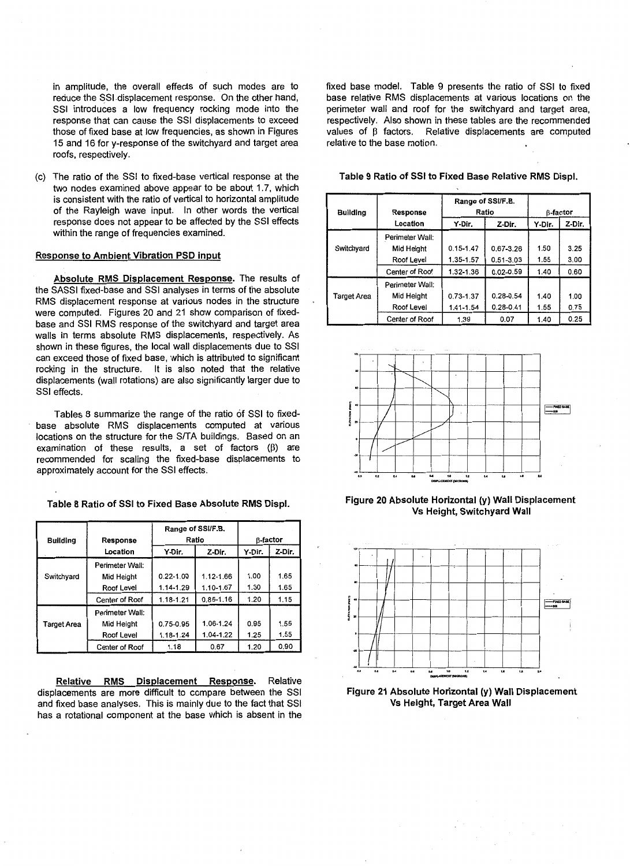in amplitude, the overall effects of such modes are to reduce the SSI displacement response. On the other hand, SSI introduces a low frequency rocking mode into the response that can cause the SSI displacements to exceed those of fixed base at low frequencies, as shown in Figures 15 and 16 for y-response of the switchyard and target area roofs, respectively.

(c) The ratio of the SSI to fixed-base vertical response at the two nodes examined above appear to be about 1.7, which is consistent with the ratio of vertical to horizontal amplitude of the Rayleigh wave input. In other words the vertical response does not appear to be affected by the SSI effects within the range of frequencies examined.

## Response to Ambient Vibration PSD input

Absolute RMS Displacement Response. The results of the SASSI fixed-base and SSI analyses in terms of the absolute RMS displacement response at various nodes in the structure were computed. Figures 20 and 21 show comparison of fixedbase and SSI RMS response of the switchyard and target area walls in terms absolute RMS displacements, respectively. As shown in these figures, the local wall displacements due to SSI can exceed those of fixed base, which is attributed to significant rocking in the structure. It is also noted that the relative displacements (wall rotations) are also significantly larger due to SSI effects.

Tables 8 summarize the range of the ratio of SSI to fixedbase absolute RMS displacements computed at various locations on the structure for the S/TA buildings. Based on an examination of these results, a set of factors  $(\beta)$  are recommended for scaling the fixed-base displacements to approximately account for the SSI effects.

Table 8 Ratio of SSI to Fixed Base Absolute RMS Displ.

| <b>Building</b> | Response        | Ratio         | Range of SSI/F.B. | <b>B-factor</b> |        |
|-----------------|-----------------|---------------|-------------------|-----------------|--------|
|                 | Location        | Y-Dir.        | Z-Dir.            | Y-Dir.          | Z-Dir. |
|                 | Perimeter Wall: |               |                   |                 |        |
| Switchyard      | Mid Height      | $0.22 - 1.00$ | 1.12-1.66         | 1.00            | 1.65   |
|                 | Roof Level      | 1.14-1.29     | 1.10-1.67         | 1.30            | 1.65   |
|                 | Center of Roof  | 1.18-1.21     | $0.85 - 1.16$     | 1.20            | 1.15   |
|                 | Perimeter Wall: |               |                   |                 |        |
| Target Area     | Mid Height      | 0.75-0.95     | 1.06-1.24         | 0.95            | 1.55   |
|                 | Roof Level      | 1.18-1.24     | 1.04-1.22         | 1.25            | 1.55   |
|                 | Center of Roof  | 1.18          | 0.67              | 1.20            | 0.90   |

Relative RMS Displacement Response. Relative displacements are more difficult to compare between the SSI and fixed base analyses. This is mainly due to the fact that SSI has a rotational component at the base which is absent in the fixed base model. Table 9 presents the ratio of SSI to fixed base relative RMS displacements at various locations on the perimeter wall and roof for the switchyard and target area, respectively. Also shown in these tables are the recommended values of B factors. Relative displacements are computed relative to the base motion.

|  | Table 9 Ratio of SSI to Fixed Base Relative RMS Displ. |
|--|--------------------------------------------------------|
|--|--------------------------------------------------------|

| <b>Building</b>    | Response<br>Location | Range of SSI/F.B.<br>Ratio<br>Y-Dir.<br>Z-Dir. |               | Y-Dir. | <b>B-factor</b><br>Z-Dir. |
|--------------------|----------------------|------------------------------------------------|---------------|--------|---------------------------|
|                    | Perimeter Wall:      |                                                |               |        |                           |
| Switchyard         | Mid Height           | $0.15 - 1.47$                                  | 0.67-3.26     | 1.50   | 3.25                      |
|                    | Roof Level           | 1.35-1.57                                      | $0.51 - 3.03$ | 1.55   | 3.00                      |
|                    | Center of Roof       | 1.32-1.36                                      | $0.02 - 0.59$ | 1.40   | 0.60                      |
|                    | Perimeter Wall:      |                                                |               |        |                           |
| <b>Target Area</b> | Mid Height           | $0.73 - 1.37$                                  | $0.28 - 0.54$ | 1.40   | 1.00                      |
|                    | Roof Level           | 1.41-1.54                                      | $0.28 - 0.41$ | 1.55   | 0.75                      |
|                    | Center of Roof       | 1.39                                           | 0.07          | 1.40   | 0.25                      |



Figure 20 Absolute Horizontal (y) Wall Displacement Vs Height, Switchyard Wall



Figure 21 Absolute Horizontal (y) Wall Displacement Vs Height, Target Area Wall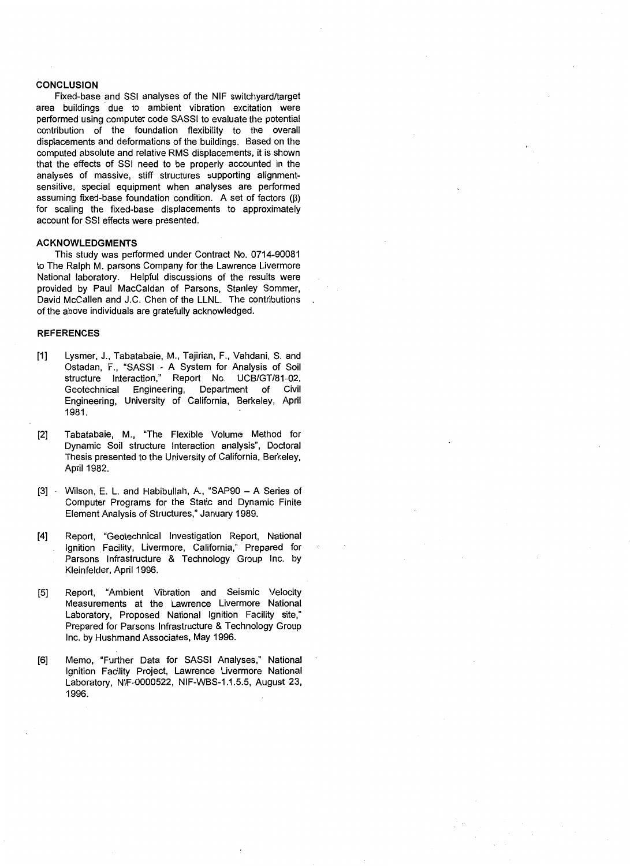### **CONCLUSION**

Fixed-base and SSI analyses of the NIF switchyard/target area buildings due to ambient vibration excitation were performed using computer code SASSI to evaluate the potential contribution of the foundation flexibility to the overall displacements and deformations of the buildings. Based on the computed absolute and relative RMS displacements, it is shown that the effects of SSI need to be properly accounted in the analyses of massive, stiff structures supporting alignmentsensitive, special equipment when analyses are performed assuming fixed-base foundation condition. A set of factors  $(\beta)$ for scaling the fixed-base displacements to approximately account for SSI effects were presented.

### **ACKNOWLEDGMENTS**

This study was performed under Contract No. 0714-90081 to The Ralph M. parsons Company for the Lawrence Livermore National laboratory. Helpful discussions of the results were provided by Paul MacCaldan of Parsons, Stanley Sommer, David McCallen and J.C. Chen of the LLNL. The contributions of the above individuals are gratefully acknowledged.

## **REFERENCES**

- [1] Lysmer, J., Tabatabaie, M., Tajirian, F., Vahdani, S. and Ostadan, F., "SASSI - A System for Analysis of Soil structure Interaction," Report No. UCB/GT/81-02, Geotechnical Engineering, Department of Civil Engineering, University of California, Berkeley, April 1981.
- [2] Tabatabaie, M., "The Flexible Volume Method for Dynamic Soil structure Interaction analysis", Doctoral Thesis presented to the University of California, Berkeley, April 1982.
- [3] · Wilson, E. L. and Habibullah, A., "SAP90 A Series of Computer Programs for the Static and Dynamic Finite Element Analysis of Structures," January 1989.
- [4] Report, "Geotechnical Investigation Report, National Ignition Facility, Livermore, California," Prepared for Parsons Infrastructure & Technology Group Inc. by Kleinfelder, April 1996.
- [5] Report, "Ambient Vibration and Seismic Velocity Measurements at the Lawrence Livermore National Laboratory, Proposed National Ignition Facility site," Prepared for Parsons Infrastructure & Technology Group Inc. by Hushmand Associates, May 1996.
- [6] Memo, "Further Data for SASSI Analyses," National Ignition Facility Project, Lawrence Livermore National Laboratory, NIF-0000522, NIF-WBS-1.1.5.5, August 23, 1996.